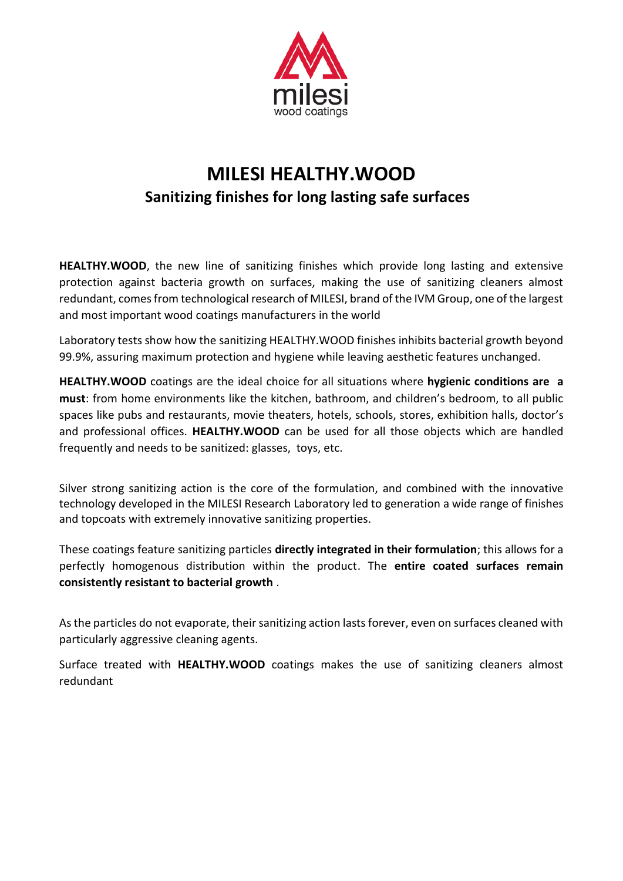

## **MILESI HEALTHY.WOOD Sanitizing finishes for long lasting safe surfaces**

**HEALTHY.WOOD**, the new line of sanitizing finishes which provide long lasting and extensive protection against bacteria growth on surfaces, making the use of sanitizing cleaners almost redundant, comes from technological research of MILESI, brand of the IVM Group, one of the largest and most important wood coatings manufacturers in the world

Laboratory tests show how the sanitizing HEALTHY.WOOD finishes inhibits bacterial growth beyond 99.9%, assuring maximum protection and hygiene while leaving aesthetic features unchanged.

**HEALTHY.WOOD** coatings are the ideal choice for all situations where **hygienic conditions are a must**: from home environments like the kitchen, bathroom, and children's bedroom, to all public spaces like pubs and restaurants, movie theaters, hotels, schools, stores, exhibition halls, doctor's and professional offices. **HEALTHY.WOOD** can be used for all those objects which are handled frequently and needs to be sanitized: glasses, toys, etc.

Silver strong sanitizing action is the core of the formulation, and combined with the innovative technology developed in the MILESI Research Laboratory led to generation a wide range of finishes and topcoats with extremely innovative sanitizing properties.

These coatings feature sanitizing particles **directly integrated in their formulation**; this allows for a perfectly homogenous distribution within the product. The **entire coated surfaces remain consistently resistant to bacterial growth** .

As the particles do not evaporate, their sanitizing action lasts forever, even on surfaces cleaned with particularly aggressive cleaning agents.

Surface treated with **HEALTHY.WOOD** coatings makes the use of sanitizing cleaners almost redundant